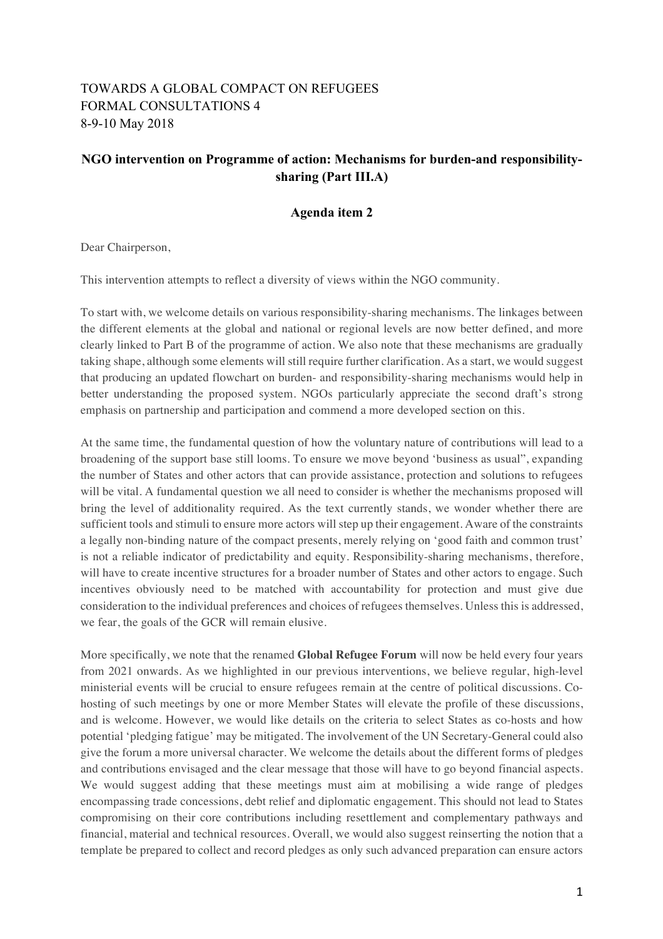## TOWARDS A GLOBAL COMPACT ON REFUGEES FORMAL CONSULTATIONS 4 8-9-10 May 2018

## **NGO intervention on Programme of action: Mechanisms for burden-and responsibilitysharing (Part III.A)**

## **Agenda item 2**

Dear Chairperson,

This intervention attempts to reflect a diversity of views within the NGO community.

To start with, we welcome details on various responsibility-sharing mechanisms. The linkages between the different elements at the global and national or regional levels are now better defined, and more clearly linked to Part B of the programme of action. We also note that these mechanisms are gradually taking shape, although some elements will still require further clarification. As a start, we would suggest that producing an updated flowchart on burden- and responsibility-sharing mechanisms would help in better understanding the proposed system. NGOs particularly appreciate the second draft's strong emphasis on partnership and participation and commend a more developed section on this.

At the same time, the fundamental question of how the voluntary nature of contributions will lead to a broadening of the support base still looms. To ensure we move beyond 'business as usual", expanding the number of States and other actors that can provide assistance, protection and solutions to refugees will be vital. A fundamental question we all need to consider is whether the mechanisms proposed will bring the level of additionality required. As the text currently stands, we wonder whether there are sufficient tools and stimuli to ensure more actors will step up their engagement. Aware of the constraints a legally non-binding nature of the compact presents, merely relying on 'good faith and common trust' is not a reliable indicator of predictability and equity. Responsibility-sharing mechanisms, therefore, will have to create incentive structures for a broader number of States and other actors to engage. Such incentives obviously need to be matched with accountability for protection and must give due consideration to the individual preferences and choices of refugees themselves. Unless this is addressed, we fear, the goals of the GCR will remain elusive.

More specifically, we note that the renamed **Global Refugee Forum** will now be held every four years from 2021 onwards. As we highlighted in our previous interventions, we believe regular, high-level ministerial events will be crucial to ensure refugees remain at the centre of political discussions. Cohosting of such meetings by one or more Member States will elevate the profile of these discussions, and is welcome. However, we would like details on the criteria to select States as co-hosts and how potential 'pledging fatigue' may be mitigated. The involvement of the UN Secretary-General could also give the forum a more universal character. We welcome the details about the different forms of pledges and contributions envisaged and the clear message that those will have to go beyond financial aspects. We would suggest adding that these meetings must aim at mobilising a wide range of pledges encompassing trade concessions, debt relief and diplomatic engagement. This should not lead to States compromising on their core contributions including resettlement and complementary pathways and financial, material and technical resources. Overall, we would also suggest reinserting the notion that a template be prepared to collect and record pledges as only such advanced preparation can ensure actors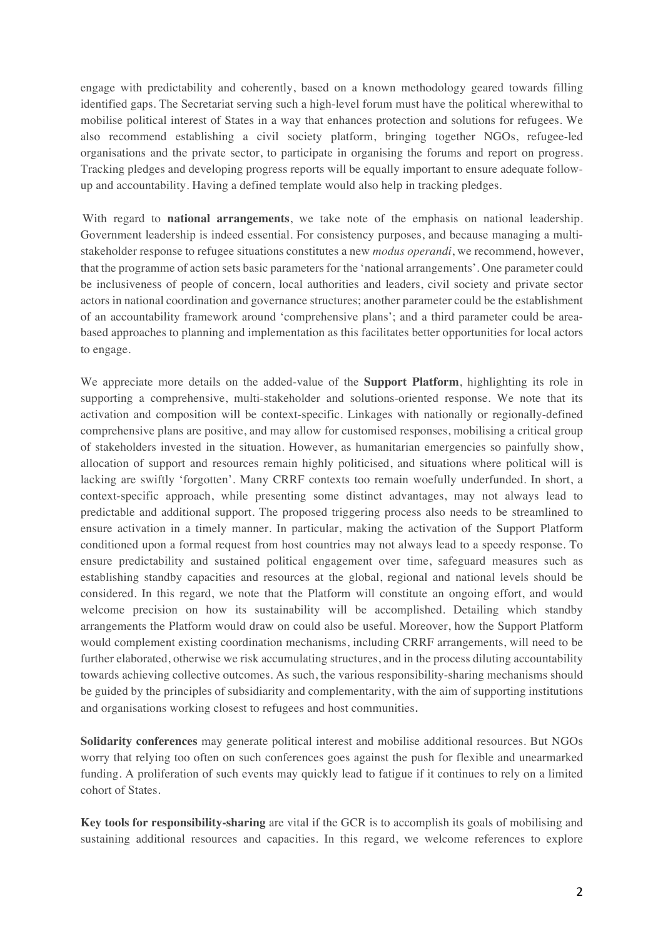engage with predictability and coherently, based on a known methodology geared towards filling identified gaps. The Secretariat serving such a high-level forum must have the political wherewithal to mobilise political interest of States in a way that enhances protection and solutions for refugees. We also recommend establishing a civil society platform, bringing together NGOs, refugee-led organisations and the private sector, to participate in organising the forums and report on progress. Tracking pledges and developing progress reports will be equally important to ensure adequate followup and accountability. Having a defined template would also help in tracking pledges.

With regard to **national arrangements**, we take note of the emphasis on national leadership. Government leadership is indeed essential. For consistency purposes, and because managing a multistakeholder response to refugee situations constitutes a new *modus operandi*, we recommend, however, that the programme of action sets basic parameters for the 'national arrangements'. One parameter could be inclusiveness of people of concern, local authorities and leaders, civil society and private sector actors in national coordination and governance structures; another parameter could be the establishment of an accountability framework around 'comprehensive plans'; and a third parameter could be areabased approaches to planning and implementation as this facilitates better opportunities for local actors to engage.

We appreciate more details on the added-value of the **Support Platform**, highlighting its role in supporting a comprehensive, multi-stakeholder and solutions-oriented response. We note that its activation and composition will be context-specific. Linkages with nationally or regionally-defined comprehensive plans are positive, and may allow for customised responses, mobilising a critical group of stakeholders invested in the situation. However, as humanitarian emergencies so painfully show, allocation of support and resources remain highly politicised, and situations where political will is lacking are swiftly 'forgotten'. Many CRRF contexts too remain woefully underfunded. In short, a context-specific approach, while presenting some distinct advantages, may not always lead to predictable and additional support. The proposed triggering process also needs to be streamlined to ensure activation in a timely manner. In particular, making the activation of the Support Platform conditioned upon a formal request from host countries may not always lead to a speedy response. To ensure predictability and sustained political engagement over time, safeguard measures such as establishing standby capacities and resources at the global, regional and national levels should be considered. In this regard, we note that the Platform will constitute an ongoing effort, and would welcome precision on how its sustainability will be accomplished. Detailing which standby arrangements the Platform would draw on could also be useful. Moreover, how the Support Platform would complement existing coordination mechanisms, including CRRF arrangements, will need to be further elaborated, otherwise we risk accumulating structures, and in the process diluting accountability towards achieving collective outcomes. As such, the various responsibility-sharing mechanisms should be guided by the principles of subsidiarity and complementarity, with the aim of supporting institutions and organisations working closest to refugees and host communities.

**Solidarity conferences** may generate political interest and mobilise additional resources. But NGOs worry that relying too often on such conferences goes against the push for flexible and unearmarked funding. A proliferation of such events may quickly lead to fatigue if it continues to rely on a limited cohort of States.

**Key tools for responsibility-sharing** are vital if the GCR is to accomplish its goals of mobilising and sustaining additional resources and capacities. In this regard, we welcome references to explore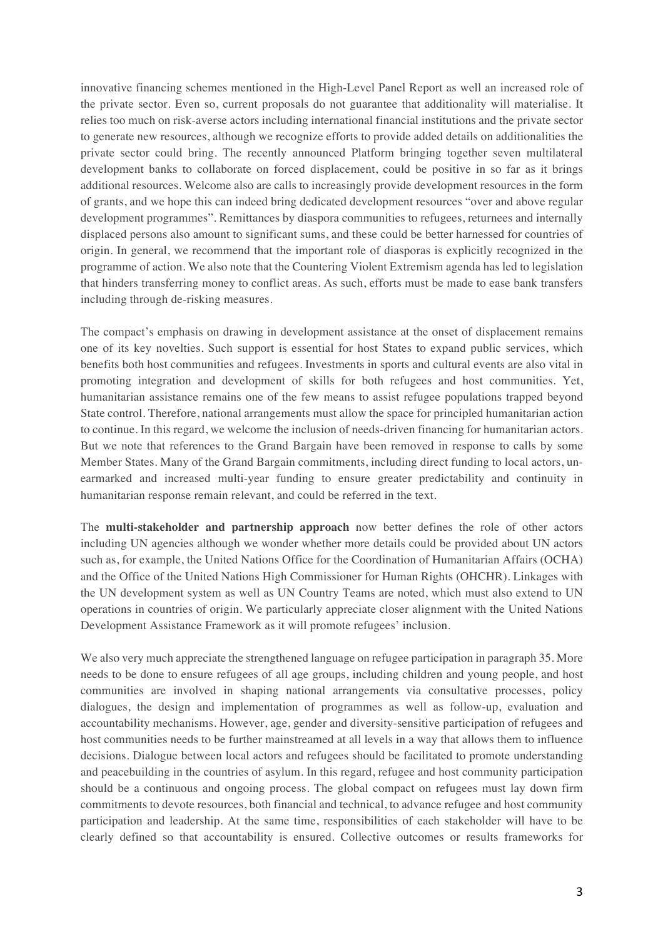innovative financing schemes mentioned in the High-Level Panel Report as well an increased role of the private sector. Even so, current proposals do not guarantee that additionality will materialise. It relies too much on risk-averse actors including international financial institutions and the private sector to generate new resources, although we recognize efforts to provide added details on additionalities the private sector could bring. The recently announced Platform bringing together seven multilateral development banks to collaborate on forced displacement, could be positive in so far as it brings additional resources. Welcome also are calls to increasingly provide development resources in the form of grants, and we hope this can indeed bring dedicated development resources "over and above regular development programmes". Remittances by diaspora communities to refugees, returnees and internally displaced persons also amount to significant sums, and these could be better harnessed for countries of origin. In general, we recommend that the important role of diasporas is explicitly recognized in the programme of action. We also note that the Countering Violent Extremism agenda has led to legislation that hinders transferring money to conflict areas. As such, efforts must be made to ease bank transfers including through de-risking measures.

The compact's emphasis on drawing in development assistance at the onset of displacement remains one of its key novelties. Such support is essential for host States to expand public services, which benefits both host communities and refugees. Investments in sports and cultural events are also vital in promoting integration and development of skills for both refugees and host communities. Yet, humanitarian assistance remains one of the few means to assist refugee populations trapped beyond State control. Therefore, national arrangements must allow the space for principled humanitarian action to continue. In this regard, we welcome the inclusion of needs-driven financing for humanitarian actors. But we note that references to the Grand Bargain have been removed in response to calls by some Member States. Many of the Grand Bargain commitments, including direct funding to local actors, unearmarked and increased multi-year funding to ensure greater predictability and continuity in humanitarian response remain relevant, and could be referred in the text.

The **multi-stakeholder and partnership approach** now better defines the role of other actors including UN agencies although we wonder whether more details could be provided about UN actors such as, for example, the United Nations Office for the Coordination of Humanitarian Affairs (OCHA) and the Office of the United Nations High Commissioner for Human Rights (OHCHR). Linkages with the UN development system as well as UN Country Teams are noted, which must also extend to UN operations in countries of origin. We particularly appreciate closer alignment with the United Nations Development Assistance Framework as it will promote refugees' inclusion.

We also very much appreciate the strengthened language on refugee participation in paragraph 35. More needs to be done to ensure refugees of all age groups, including children and young people, and host communities are involved in shaping national arrangements via consultative processes, policy dialogues, the design and implementation of programmes as well as follow-up, evaluation and accountability mechanisms. However, age, gender and diversity-sensitive participation of refugees and host communities needs to be further mainstreamed at all levels in a way that allows them to influence decisions. Dialogue between local actors and refugees should be facilitated to promote understanding and peacebuilding in the countries of asylum. In this regard, refugee and host community participation should be a continuous and ongoing process. The global compact on refugees must lay down firm commitments to devote resources, both financial and technical, to advance refugee and host community participation and leadership. At the same time, responsibilities of each stakeholder will have to be clearly defined so that accountability is ensured. Collective outcomes or results frameworks for